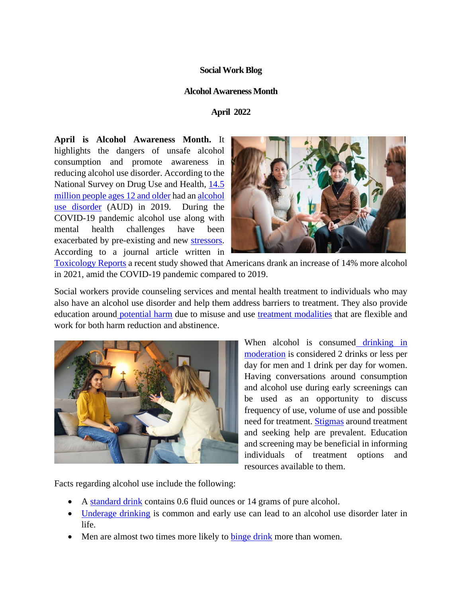## **Social Work Blog**

## **Alcohol Awareness Month**

## **April 2022**

**April is Alcohol Awareness Month.** It highlights the dangers of unsafe alcohol consumption and promote awareness in reducing alcohol use disorder. According to the National Survey on Drug Use and Health, [14.5](https://www.niaaa.nih.gov/publications/brochures-and-fact-sheets/alcohol-facts-and-statistics)  [million people ages 12 and older](https://www.niaaa.nih.gov/publications/brochures-and-fact-sheets/alcohol-facts-and-statistics) had an [alcohol](https://www.rethinkingdrinking.niaaa.nih.gov/How-much-is-too-much/Whats-the-harm/What-Are-Symptoms-Of-Alcohol-Use-Disorder.aspx)  [use disorder](https://www.rethinkingdrinking.niaaa.nih.gov/How-much-is-too-much/Whats-the-harm/What-Are-Symptoms-Of-Alcohol-Use-Disorder.aspx) (AUD) in 2019. During the COVID-19 pandemic alcohol use along with mental health challenges have been exacerbated by pre-existing and new [stressors.](https://www.tandfonline.com/doi/abs/10.1080/07347324.2021.1914257) According to a journal article written in



[Toxicology Reports](https://www.sciencedirect.com/science/article/pii/S2214750021000469#!) a recent study showed that Americans drank an increase of 14% more alcohol in 2021, amid the COVID-19 pandemic compared to 2019.

Social workers provide counseling services and mental health treatment to individuals who may also have an alcohol use disorder and help them address barriers to treatment. They also provide education around [potential harm](https://www.rethinkingdrinking.niaaa.nih.gov/How-much-is-too-much/Whats-the-harm/What-Are-The-Consequences.aspx) due to misuse and use [treatment modalities](https://www.ncbi.nlm.nih.gov/pmc/articles/PMC3684208/) that are flexible and work for both harm reduction and abstinence.



When alcohol is consumed drinking in [moderation](https://www.niaaa.nih.gov/alcohol-health/overview-alcohol-consumption/moderate-binge-drinking) is considered 2 drinks or less per day for men and 1 drink per day for women. Having conversations around consumption and alcohol use during early screenings can be used as an opportunity to discuss frequency of use, volume of use and possible need for treatment. [Stigmas](https://nida.nih.gov/nidamed-medical-health-professionals/health-professions-education/words-matter-terms-to-use-avoid-when-talking-about-addiction) around treatment and seeking help are prevalent. Education and screening may be beneficial in informing individuals of treatment options and resources available to them.

Facts regarding alcohol use include the following:

- A [standard drink](https://www.rethinkingdrinking.niaaa.nih.gov/How-much-is-too-much/What-counts-as-a-drink/Whats-A-Standard-Drink.aspx) contains 0.6 fluid ounces or 14 grams of pure alcohol.
- [Underage drinking](https://www.cdc.gov/alcohol/fact-sheets/underage-drinking.htm) is common and early use can lead to an alcohol use disorder later in life.
- Men are almost two times more likely to [binge drink](https://www.cdc.gov/alcohol/fact-sheets/binge-drinking.htm) more than women.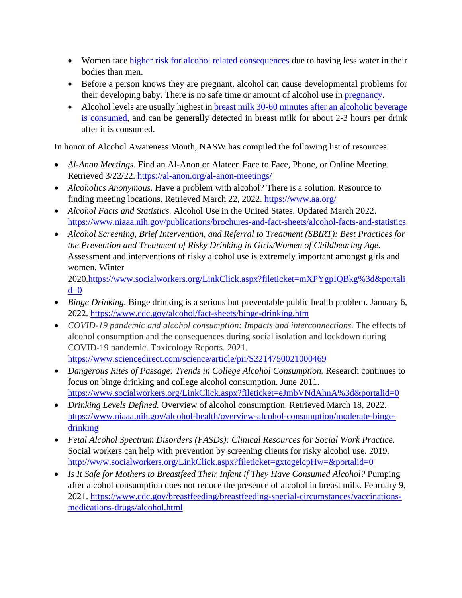- Women face [higher risk for alcohol related consequences](https://www.rethinkingdrinking.niaaa.nih.gov/How-much-is-too-much/Is-your-drinking-pattern-risky/Drinking-Levels.aspx) due to having less water in their bodies than men.
- Before a person knows they are pregnant, alcohol can cause developmental problems for their developing baby. There is no safe time or amount of alcohol use in [pregnancy.](https://www.cdc.gov/ncbddd/fasd/facts.html)
- Alcohol levels are usually highest in breast milk 30-60 minutes after an alcoholic beverage [is consumed,](https://www.cdc.gov/breastfeeding/breastfeeding-special-circumstances/vaccinations-medications-drugs/alcohol.html) and can be generally detected in breast milk for about 2-3 hours per drink after it is consumed.

In honor of Alcohol Awareness Month, NASW has compiled the following list of resources.

- *Al-Anon Meetings.* Find an Al-Anon or Alateen Face to Face, Phone, or Online Meeting. Retrieved 3/22/22.<https://al-anon.org/al-anon-meetings/>
- *Alcoholics Anonymous.* Have a problem with alcohol? There is a solution. Resource to finding meeting locations. Retrieved March 22, 2022.<https://www.aa.org/>
- *Alcohol Facts and Statistics.* Alcohol Use in the United States. Updated March 2022. <https://www.niaaa.nih.gov/publications/brochures-and-fact-sheets/alcohol-facts-and-statistics>
- *Alcohol Screening, Brief Intervention, and Referral to Treatment (SBIRT): Best Practices for the Prevention and Treatment of Risky Drinking in Girls/Women of Childbearing Age.* Assessment and interventions of risky alcohol use is extremely important amongst girls and women. Winter 2020[.https://www.socialworkers.org/LinkClick.aspx?fileticket=mXPYgpIQBkg%3d&portali](https://www.socialworkers.org/LinkClick.aspx?fileticket=mXPYgpIQBkg%3d&portalid=0)

 $d=0$ 

- *Binge Drinking.* Binge drinking is a serious but preventable public health problem. January 6, 2022.<https://www.cdc.gov/alcohol/fact-sheets/binge-drinking.htm>
- *COVID-19 pandemic and alcohol consumption: Impacts and interconnections.* The effects of alcohol consumption and the consequences during social isolation and lockdown during COVID-19 pandemic. Toxicology Reports. 2021. <https://www.sciencedirect.com/science/article/pii/S2214750021000469>
- *Dangerous Rites of Passage: Trends in College Alcohol Consumption.* Research continues to focus on binge drinking and college alcohol consumption. June 2011. <https://www.socialworkers.org/LinkClick.aspx?fileticket=eJmbVNdAhnA%3d&portalid=0>
- *Drinking Levels Defined.* Overview of alcohol consumption. Retrieved March 18, 2022. [https://www.niaaa.nih.gov/alcohol-health/overview-alcohol-consumption/moderate-binge](https://www.niaaa.nih.gov/alcohol-health/overview-alcohol-consumption/moderate-binge-drinking)[drinking](https://www.niaaa.nih.gov/alcohol-health/overview-alcohol-consumption/moderate-binge-drinking)
- *Fetal Alcohol Spectrum Disorders (FASDs): Clinical Resources for Social Work Practice.* Social workers can help with prevention by screening clients for risky alcohol use. 2019. <http://www.socialworkers.org/LinkClick.aspx?fileticket=gxtcgelcpHw=&portalid=0>
- *Is It Safe for Mothers to Breastfeed Their Infant if They Have Consumed Alcohol?* Pumping after alcohol consumption does not reduce the presence of alcohol in breast milk. February 9, 2021. https://www.cdc.gov/breastfeeding/breastfeeding-special-circumstances/vaccinationsmedications-drugs/alcohol.html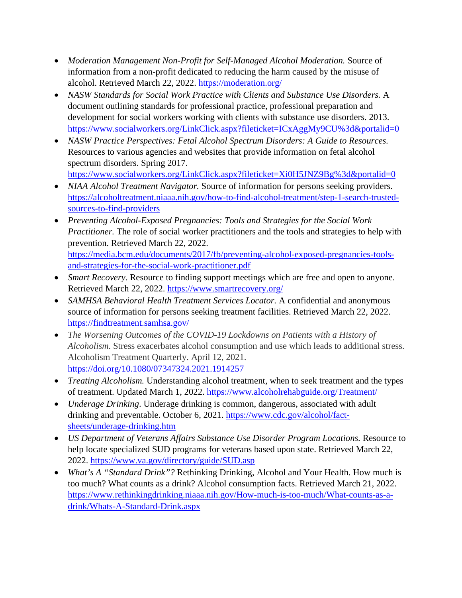- *Moderation Management Non-Profit for Self-Managed Alcohol Moderation.* Source of information from a non-profit dedicated to reducing the harm caused by the misuse of alcohol. Retrieved March 22, 2022. https://moderation.org/
- *NASW Standards for Social Work Practice with Clients and Substance Use Disorders.* A document outlining standards for professional practice, professional preparation and development for social workers working with clients with substance use disorders. 2013. <https://www.socialworkers.org/LinkClick.aspx?fileticket=ICxAggMy9CU%3d&portalid=0>
- *NASW Practice Perspectives: Fetal Alcohol Spectrum Disorders: A Guide to Resources.* Resources to various agencies and websites that provide information on fetal alcohol spectrum disorders. Spring 2017.

<https://www.socialworkers.org/LinkClick.aspx?fileticket=Xi0H5JNZ9Bg%3d&portalid=0>

- *NIAA Alcohol Treatment Navigator.* Source of information for persons seeking providers. [https://alcoholtreatment.niaaa.nih.gov/how-to-find-alcohol-treatment/step-1-search-trusted](https://alcoholtreatment.niaaa.nih.gov/how-to-find-alcohol-treatment/step-1-search-trusted-sources-to-find-providers)[sources-to-find-providers](https://alcoholtreatment.niaaa.nih.gov/how-to-find-alcohol-treatment/step-1-search-trusted-sources-to-find-providers)
- *Preventing Alcohol-Exposed Pregnancies: Tools and Strategies for the Social Work Practitioner.* The role of social worker practitioners and the tools and strategies to help with prevention. Retrieved March 22, 2022. [https://media.bcm.edu/documents/2017/fb/preventing-alcohol-exposed-pregnancies-tools](https://media.bcm.edu/documents/2017/fb/preventing-alcohol-exposed-pregnancies-tools-and-strategies-for-the-social-work-practitioner.pdf)[and-strategies-for-the-social-work-practitioner.pdf](https://media.bcm.edu/documents/2017/fb/preventing-alcohol-exposed-pregnancies-tools-and-strategies-for-the-social-work-practitioner.pdf)
- *Smart Recovery*. Resource to finding support meetings which are free and open to anyone. Retrieved March 22, 2022.<https://www.smartrecovery.org/>
- *SAMHSA Behavioral Health Treatment Services Locator.* A confidential and anonymous source of information for persons seeking treatment facilities. Retrieved March 22, 2022. <https://findtreatment.samhsa.gov/>
- *The Worsening Outcomes of the COVID-19 Lockdowns on Patients with a History of Alcoholism*. Stress exacerbates alcohol consumption and use which leads to additional stress. Alcoholism Treatment Quarterly. April 12, 2021. <https://doi.org/10.1080/07347324.2021.1914257>
- *Treating Alcoholism.* Understanding alcohol treatment, when to seek treatment and the types of treatment. Updated March 1, 2022.<https://www.alcoholrehabguide.org/Treatment/>
- *Underage Drinking*. Underage drinking is common, dangerous, associated with adult drinking and preventable. October 6, 2021. [https://www.cdc.gov/alcohol/fact](https://www.cdc.gov/alcohol/fact-sheets/underage-drinking.htm)[sheets/underage-drinking.htm](https://www.cdc.gov/alcohol/fact-sheets/underage-drinking.htm)
- *US Department of Veterans Affairs Substance Use Disorder Program Locations.* Resource to help locate specialized SUD programs for veterans based upon state. Retrieved March 22, 2022.<https://www.va.gov/directory/guide/SUD.asp>
- *What's A "Standard Drink"?* Rethinking Drinking, Alcohol and Your Health. How much is too much? What counts as a drink? Alcohol consumption facts. Retrieved March 21, 2022. [https://www.rethinkingdrinking.niaaa.nih.gov/How-much-is-too-much/What-counts-as-a](https://www.rethinkingdrinking.niaaa.nih.gov/How-much-is-too-much/What-counts-as-a-drink/Whats-A-Standard-Drink.aspx)[drink/Whats-A-Standard-Drink.aspx](https://www.rethinkingdrinking.niaaa.nih.gov/How-much-is-too-much/What-counts-as-a-drink/Whats-A-Standard-Drink.aspx)